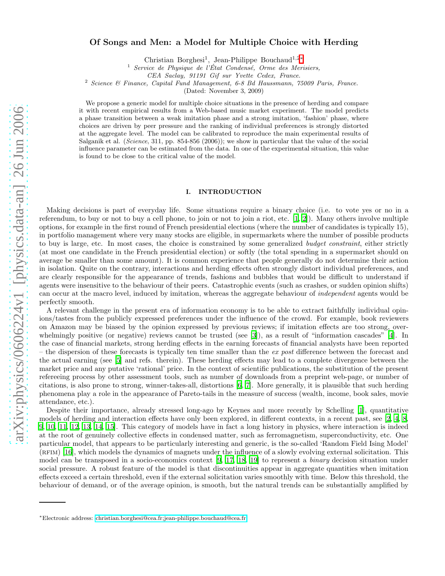# Of Songs and Men: a Model for Multiple Choice with Herding

Christian Borghesi<sup>1</sup>, Jean-Philippe Bouchaud<sup>1,2[∗](#page-0-0)</sup>

 $\frac{1}{1}$  Service de Physique de l'État Condensé, Orme des Merisiers,

CEA Saclay, 91191 Gif sur Yvette Cedex, France.

<sup>2</sup> Science & Finance, Capital Fund Management, 6-8 Bd Haussmann, 75009 Paris, France.

(Dated: November 3, 2009)

We propose a generic model for multiple choice situations in the presence of herding and compare it with recent empirical results from a Web-based music market experiment. The model predicts a phase transition between a weak imitation phase and a strong imitation, 'fashion' phase, where choices are driven by peer pressure and the ranking of individual preferences is strongly distorted at the aggregate level. The model can be calibrated to reproduce the main experimental results of Salganik et al. (Science, 311, pp. 854-856 (2006)); we show in particular that the value of the social influence parameter can be estimated from the data. In one of the experimental situation, this value is found to be close to the critical value of the model.

## I. INTRODUCTION

Making decisions is part of everyday life. Some situations require a binary choice (i.e. to vote yes or no in a referendum, to buy or not to buy a cell phone, to join or not to join a riot, etc.  $[1, 2]$  $[1, 2]$  $[1, 2]$ ). Many others involve multiple options, for example in the first round of French presidential elections (where the number of candidates is typically 15), in portfolio management where very many stocks are eligible, in supermarkets where the number of possible products to buy is large, etc. In most cases, the choice is constrained by some generalized budget constraint, either strictly (at most one candidate in the French presidential election) or softly (the total spending in a supermarket should on average be smaller than some amount). It is common experience that people generally do not determine their action in isolation. Quite on the contrary, interactions and herding effects often strongly distort individual preferences, and are clearly responsible for the appearance of trends, fashions and bubbles that would be difficult to understand if agents were insensitive to the behaviour of their peers. Catastrophic events (such as crashes, or sudden opinion shifts) can occur at the macro level, induced by imitation, whereas the aggregate behaviour of independent agents would be perfectly smooth.

A relevant challenge in the present era of information economy is to be able to extract faithfully individual opinions/tastes from the publicly expressed preferences under the influence of the crowd. For example, book reviewers on Amazon may be biased by the opinion expressed by previous reviews; if imitation effects are too strong, over-whelmingly positive (or negative) reviews cannot be trusted (see [\[3](#page-6-2)]), as a result of "information cascades" [\[4](#page-6-3)]. In the case of financial markets, strong herding effects in the earning forecasts of financial analysts have been reported – the dispersion of these forecasts is typically ten time smaller than the  $ex$  post difference between the forecast and the actual earning (see [\[5\]](#page-6-4) and refs. therein). These herding effects may lead to a complete divergence between the market price and any putative 'rational' price. In the context of scientific publications, the substitution of the present refereeing process by other assessment tools, such as number of downloads from a preprint web-page, or number of citations, is also prone to strong, winner-takes-all, distortions [\[6,](#page-6-5) [7\]](#page-6-6). More generally, it is plausible that such herding phenomena play a role in the appearance of Pareto-tails in the measure of success (wealth, income, book sales, movie attendance, etc.).

Despite their importance, already stressed long-ago by Keynes and more recently by Schelling [\[1](#page-6-0)], quantitative models of herding and interaction effects have only been explored, in different contexts, in a recent past, see [\[2](#page-6-1), [4](#page-6-3), [8](#page-6-7), [9](#page-6-8), [10](#page-6-9), [11,](#page-6-10) [12,](#page-6-11) [13](#page-7-0), [14,](#page-7-1) [15\]](#page-7-2). This category of models have in fact a long history in physics, where interaction is indeed at the root of genuinely collective effects in condensed matter, such as ferromagnetism, superconductivity, etc. One particular model, that appears to be particularly interesting and generic, is the so-called 'Random Field Ising Model' (RFIM) [\[16](#page-7-3)], which models the dynamics of magnets under the influence of a slowly evolving external solicitation. This model can be transposed in a socio-economics context [\[9](#page-6-8), [17,](#page-7-4) [18,](#page-7-5) [19](#page-7-6)] to represent a binary decision situation under social pressure. A robust feature of the model is that discontinuities appear in aggregate quantities when imitation effects exceed a certain threshold, even if the external solicitation varies smoothly with time. Below this threshold, the behaviour of demand, or of the average opinion, is smooth, but the natural trends can be substantially amplified by

<span id="page-0-0"></span><sup>∗</sup>Electronic address: [christian.borghesi@cea.fr;jean-philippe.bouchaud@cea.fr](mailto:christian.borghesi@cea.fr;jean-philippe.bouchaud@cea.fr)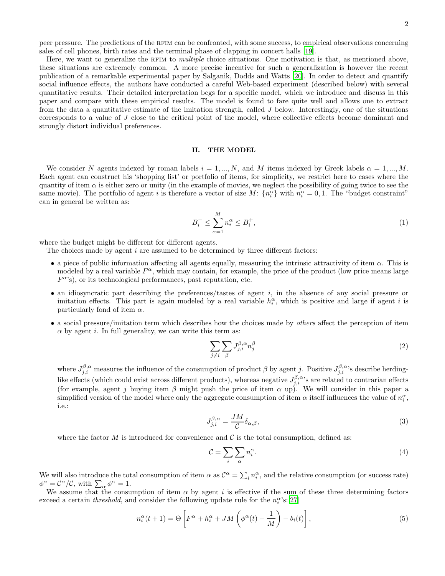peer pressure. The predictions of the rfim can be confronted, with some success, to empirical observations concerning sales of cell phones, birth rates and the terminal phase of clapping in concert halls [\[19\]](#page-7-6).

Here, we want to generalize the RFIM to *multiple* choice situations. One motivation is that, as mentioned above, these situations are extremely common. A more precise incentive for such a generalization is however the recent publication of a remarkable experimental paper by Salganik, Dodds and Watts [\[20](#page-7-7)]. In order to detect and quantify social influence effects, the authors have conducted a careful Web-based experiment (described below) with several quantitative results. Their detailed interpretation begs for a specific model, which we introduce and discuss in this paper and compare with these empirical results. The model is found to fare quite well and allows one to extract from the data a quantitative estimate of the imitation strength, called J below. Interestingly, one of the situations corresponds to a value of J close to the critical point of the model, where collective effects become dominant and strongly distort individual preferences.

## II. THE MODEL

We consider N agents indexed by roman labels  $i = 1, ..., N$ , and M items indexed by Greek labels  $\alpha = 1, ..., M$ . Each agent can construct his 'shopping list' or portfolio of items, for simplicity, we restrict here to cases where the quantity of item  $\alpha$  is either zero or unity (in the example of movies, we neglect the possibility of going twice to see the same movie). The portfolio of agent i is therefore a vector of size  $M: \{n_i^{\alpha}\}\$  with  $n_i^{\alpha}=0,1$ . The "budget constraint" can in general be written as:

$$
B_i^- \le \sum_{\alpha=1}^M n_i^{\alpha} \le B_i^+, \tag{1}
$$

where the budget might be different for different agents.

The choices made by agent  $i$  are assumed to be determined by three different factors:

- a piece of public information affecting all agents equally, measuring the intrinsic attractivity of item  $\alpha$ . This is modeled by a real variable  $F^{\alpha}$ , which may contain, for example, the price of the product (low price means large  $F^{\alpha}$ 's), or its technological performances, past reputation, etc.
- an idiosyncratic part describing the preferences/tastes of agent  $i$ , in the absence of any social pressure or imitation effects. This part is again modeled by a real variable  $h_i^{\alpha}$ , which is positive and large if agent i is particularly fond of item  $\alpha$ .
- a social pressure/imitation term which describes how the choices made by others affect the perception of item  $\alpha$  by agent *i*. In full generality, we can write this term as:

$$
\sum_{j\neq i} \sum_{\beta} J_{j,i}^{\beta,\alpha} n_j^{\beta} \tag{2}
$$

where  $J_{j,i}^{\beta,\alpha}$  measures the influence of the consumption of product  $\beta$  by agent j. Positive  $J_{j,i}^{\beta,\alpha}$ 's describe herdinglike effects (which could exist across different products), whereas negative  $J_{j,i}^{\beta,\alpha}$ 's are related to contrarian effects (for example, agent j buying item  $\beta$  might push the price of item  $\alpha$  up). We will consider in this paper a simplified version of the model where only the aggregate consumption of item  $\alpha$  itself influences the value of  $n_i^{\alpha}$ , i.e.:

$$
J_{j,i}^{\beta,\alpha} = \frac{JM}{\mathcal{C}} \delta_{\alpha,\beta},\tag{3}
$$

where the factor M is introduced for convenience and  $\mathcal C$  is the total consumption, defined as:

$$
\mathcal{C} = \sum_{i} \sum_{\alpha} n_i^{\alpha}.\tag{4}
$$

We will also introduce the total consumption of item  $\alpha$  as  $\mathcal{C}^{\alpha} = \sum_{i} n_i^{\alpha}$ , and the relative consumption (or success rate)  $\phi^{\alpha} = C^{\alpha}/\mathcal{C}$ , with  $\sum_{\alpha} \phi^{\alpha} = 1$ .

We assume that the consumption of item  $\alpha$  by agent i is effective if the sum of these three determining factors exceed a certain *threshold*, and consider the following update rule for the  $n_i^{\alpha}$ 's:[\[27](#page-7-8)]

$$
n_i^{\alpha}(t+1) = \Theta \left[ F^{\alpha} + h_i^{\alpha} + JM \left( \phi^{\alpha}(t) - \frac{1}{M} \right) - b_i(t) \right],
$$
\n<sup>(5)</sup>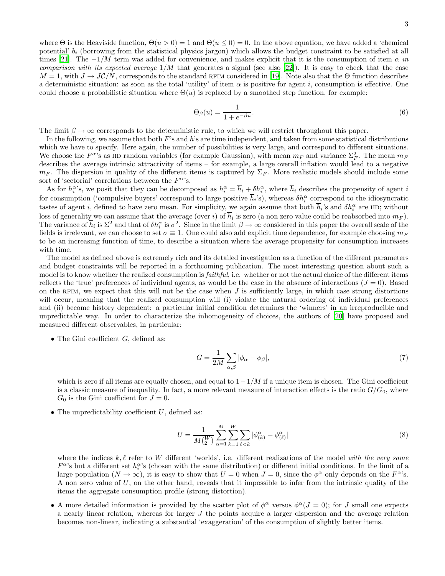where  $\Theta$  is the Heaviside function,  $\Theta(u > 0) = 1$  and  $\Theta(u \le 0) = 0$ . In the above equation, we have added a 'chemical potential'  $b_i$  (borrowing from the statistical physics jargon) which allows the budget constraint to be satisfied at all times [\[21\]](#page-7-9). The  $-1/M$  term was added for convenience, and makes explicit that it is the consumption of item  $\alpha$  in comparison with its expected average  $1/M$  that generates a signal (see also [\[22\]](#page-7-10)). It is easy to check that the case  $M = 1$ , with  $J \to J\mathcal{C}/N$ , corresponds to the standard RFIM considered in [\[19\]](#page-7-6). Note also that the Θ function describes a deterministic situation: as soon as the total 'utility' of item  $\alpha$  is positive for agent i, consumption is effective. One could choose a probabilistic situation where  $\Theta(u)$  is replaced by a smoothed step function, for example:

$$
\Theta_{\beta}(u) = \frac{1}{1 + e^{-\beta u}}.\tag{6}
$$

The limit  $\beta \to \infty$  corresponds to the deterministic rule, to which we will restrict throughout this paper.

In the following, we assume that both  $F$ 's and  $h$ 's are time independent, and taken from some statistical distributions which we have to specify. Here again, the number of possibilities is very large, and correspond to different situations. We choose the  $F^{\alpha}$ 's as IID random variables (for example Gaussian), with mean  $m_F$  and variance  $\Sigma_F^2$ . The mean  $m_F$ describes the average intrinsic attractivity of items – for example, a large overall inflation would lead to a negative  $m_F$ . The dispersion in quality of the different items is captured by  $\Sigma_F$ . More realistic models should include some sort of 'sectorial' correlations between the  $F^{\alpha}$ 's.

As for  $h_i^{\alpha}$ 's, we posit that they can be decomposed as  $h_i^{\alpha} = \overline{h}_i + \delta h_i^{\alpha}$ , where  $\overline{h}_i$  describes the propensity of agent i for consumption ('compulsive buyers' correspond to large positive  $\bar{h}_i$ 's), whereas  $\delta h_i^{\alpha}$  correspond to the idiosyncratic tastes of agent *i*, defined to have zero mean. For simplicity, we again assume that both  $\overline{h}_i$ 's and  $\delta h_i^{\alpha}$  are IID; without loss of generality we can assume that the average (over i) of  $h_i$  is zero (a non zero value could be reabsorbed into  $m_F$ ). The variance of  $\overline{h}_i$  is  $\Sigma^2$  and that of  $\delta h_i^{\alpha}$  is  $\sigma^2$ . Since in the limit  $\beta \to \infty$  considered in this paper the overall scale of the fields is irrelevant, we can choose to set  $\sigma \equiv 1$ . One could also add explicit time dependence, for example choosing  $m_F$ to be an increasing function of time, to describe a situation where the average propensity for consumption increases with time.

The model as defined above is extremely rich and its detailed investigation as a function of the different parameters and budget constraints will be reported in a forthcoming publication. The most interesting question about such a model is to know whether the realized consumption is *faithful*, i.e. whether or not the actual choice of the different items reflects the 'true' preferences of individual agents, as would be the case in the absence of interactions  $(J = 0)$ . Based on the RFIM, we expect that this will not be the case when  $J$  is sufficiently large, in which case strong distortions will occur, meaning that the realized consumption will (i) violate the natural ordering of individual preferences and (ii) become history dependent: a particular initial condition determines the 'winners' in an irreproducible and unpredictable way. In order to characterize the inhomogeneity of choices, the authors of [\[20](#page-7-7)] have proposed and measured different observables, in particular:

• The Gini coefficient  $G$ , defined as:

$$
G = \frac{1}{2M} \sum_{\alpha,\beta} |\phi_{\alpha} - \phi_{\beta}|,\tag{7}
$$

which is zero if all items are equally chosen, and equal to  $1-1/M$  if a unique item is chosen. The Gini coefficient is a classic measure of inequality. In fact, a more relevant measure of interaction effects is the ratio  $G/G_0$ , where  $G_0$  is the Gini coefficient for  $J = 0$ .

• The unpredictability coefficient  $U$ , defined as:

$$
U = \frac{1}{M\binom{W}{2}} \sum_{\alpha=1}^{M} \sum_{k=1}^{W} \sum_{\ell < k} |\phi_{(k)}^{\alpha} - \phi_{(\ell)}^{\alpha}| \tag{8}
$$

where the indices  $k, \ell$  refer to W different 'worlds', i.e. different realizations of the model with the very same  $F^{\alpha}$ 's but a different set  $h_i^{\alpha}$ 's (chosen with the same distribution) or different initial conditions. In the limit of a large population  $(N \to \infty)$ , it is easy to show that  $U = 0$  when  $J = 0$ , since the  $\phi^{\alpha}$  only depends on the  $F^{\alpha}$ 's. A non zero value of  $U$ , on the other hand, reveals that it impossible to infer from the intrinsic quality of the items the aggregate consumption profile (strong distortion).

• A more detailed information is provided by the scatter plot of  $\phi^{\alpha}$  versus  $\phi^{\alpha}(J=0)$ ; for J small one expects a nearly linear relation, whereas for larger J the points acquire a larger dispersion and the average relation becomes non-linear, indicating a substantial 'exaggeration' of the consumption of slightly better items.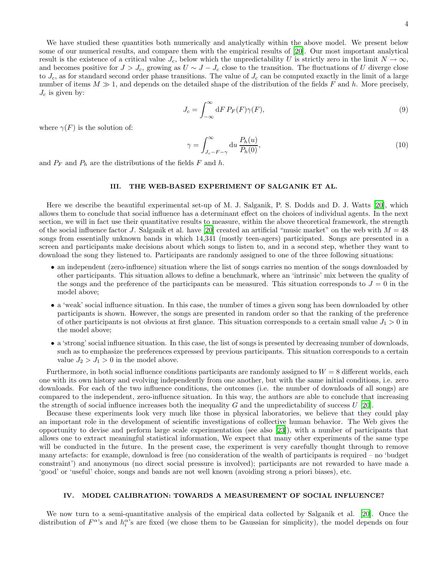We have studied these quantities both numerically and analytically within the above model. We present below some of our numerical results, and compare them with the empirical results of [\[20\]](#page-7-7). Our most important analytical result is the existence of a critical value  $J_c$ , below which the unpredictability U is strictly zero in the limit  $N \to \infty$ , and becomes positive for  $J > J_c$ , growing as  $U \sim J - J_c$  close to the transition. The fluctuations of U diverge close to  $J_c$ , as for standard second order phase transitions. The value of  $J_c$  can be computed exactly in the limit of a large number of items  $M \gg 1$ , and depends on the detailed shape of the distribution of the fields F and h. More precisely,  $J_c$  is given by:

$$
J_c = \int_{-\infty}^{\infty} dF P_F(F) \gamma(F), \tag{9}
$$

where  $\gamma(F)$  is the solution of:

$$
\gamma = \int_{J_c - F - \gamma}^{\infty} \mathrm{d}u \, \frac{P_h(u)}{P_h(0)},\tag{10}
$$

and  $P_F$  and  $P_h$  are the distributions of the fields F and h.

## III. THE WEB-BASED EXPERIMENT OF SALGANIK ET AL.

Here we describe the beautiful experimental set-up of M. J. Salganik, P. S. Dodds and D. J. Watts [\[20](#page-7-7)], which allows them to conclude that social influence has a determinant effect on the choices of individual agents. In the next section, we will in fact use their quantitative results to measure, within the above theoretical framework, the strength of the social influence factor J. Salganik et al. have [\[20\]](#page-7-7) created an artificial "music market" on the web with  $M = 48$ songs from essentially unknown bands in which 14,341 (mostly teen-agers) participated. Songs are presented in a screen and participants make decisions about which songs to listen to, and in a second step, whether they want to download the song they listened to. Participants are randomly assigned to one of the three following situations:

- an independent (zero-influence) situation where the list of songs carries no mention of the songs downloaded by other participants. This situation allows to define a benchmark, where an 'intrinsic' mix between the quality of the songs and the preference of the participants can be measured. This situation corresponds to  $J = 0$  in the model above;
- a 'weak' social influence situation. In this case, the number of times a given song has been downloaded by other participants is shown. However, the songs are presented in random order so that the ranking of the preference of other participants is not obvious at first glance. This situation corresponds to a certain small value  $J_1 > 0$  in the model above;
- a 'strong' social influence situation. In this case, the list of songs is presented by decreasing number of downloads, such as to emphasize the preferences expressed by previous participants. This situation corresponds to a certain value  $J_2 > J_1 > 0$  in the model above.

Furthermore, in both social influence conditions participants are randomly assigned to  $W = 8$  different worlds, each one with its own history and evolving independently from one another, but with the same initial conditions, i.e. zero downloads. For each of the two influence conditions, the outcomes (i.e. the number of downloads of all songs) are compared to the independent, zero-influence situation. In this way, the authors are able to conclude that increasing the strength of social influence increases both the inequality G and the unpredictability of success  $U$  [\[20\]](#page-7-7).

Because these experiments look very much like those in physical laboratories, we believe that they could play an important role in the development of scientific investigations of collective human behavior. The Web gives the opportunity to devise and perform large scale experimentation (see also [\[23\]](#page-7-11)), with a number of participants that allows one to extract meaningful statistical information, We expect that many other experiments of the same type will be conducted in the future. In the present case, the experiment is very carefully thought through to remove many artefacts: for example, download is free (no consideration of the wealth of participants is required – no 'budget constraint') and anonymous (no direct social pressure is involved); participants are not rewarded to have made a 'good' or 'useful' choice, songs and bands are not well known (avoiding strong a priori biases), etc.

## IV. MODEL CALIBRATION: TOWARDS A MEASUREMENT OF SOCIAL INFLUENCE?

We now turn to a semi-quantitative analysis of the empirical data collected by Salganik et al. [\[20\]](#page-7-7). Once the distribution of  $F^{\alpha}$ 's and  $h_i^{\alpha}$ 's are fixed (we chose them to be Gaussian for simplicity), the model depends on four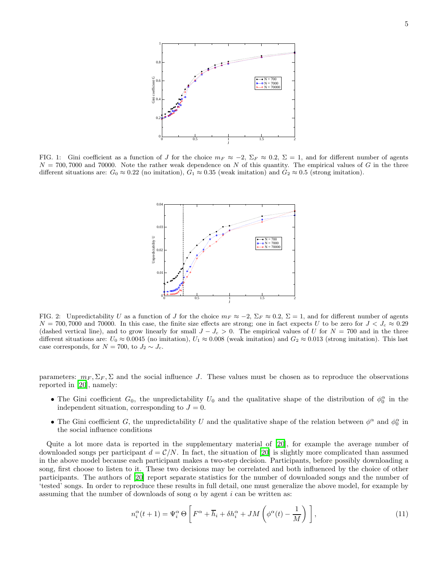

FIG. 1: Gini coefficient as a function of J for the choice  $m_F \approx -2$ ,  $\Sigma_F \approx 0.2$ ,  $\Sigma = 1$ , and for different number of agents  $N = 700, 7000$  and 70000. Note the rather weak dependence on N of this quantity. The empirical values of G in the three different situations are:  $G_0 \approx 0.22$  (no imitation),  $G_1 \approx 0.35$  (weak imitation) and  $G_2 \approx 0.5$  (strong imitation).



FIG. 2: Unpredictability U as a function of J for the choice  $m_F \approx -2$ ,  $\Sigma_F \approx 0.2$ ,  $\Sigma = 1$ , and for different number of agents  $N = 700, 7000$  and 70000. In this case, the finite size effects are strong; one in fact expects U to be zero for  $J < J_c \approx 0.29$ (dashed vertical line), and to grow linearly for small  $J - J_c > 0$ . The empirical values of U for  $N = 700$  and in the three different situations are:  $U_0 \approx 0.0045$  (no imitation),  $U_1 \approx 0.008$  (weak imitation) and  $G_2 \approx 0.013$  (strong imitation). This last case corresponds, for  $N = 700$ , to  $J_2 \sim J_c$ .

parameters:  $m_F, \Sigma_F, \Sigma$  and the social influence J. These values must be chosen as to reproduce the observations reported in [\[20\]](#page-7-7), namely:

- The Gini coefficient  $G_0$ , the unpredictability  $U_0$  and the qualitative shape of the distribution of  $\phi_0^{\alpha}$  in the independent situation, corresponding to  $J = 0$ .
- The Gini coefficient G, the unpredictability U and the qualitative shape of the relation between  $\phi^{\alpha}$  and  $\phi^{\alpha}_0$  in the social influence conditions

Quite a lot more data is reported in the supplementary material of [\[20\]](#page-7-7), for example the average number of downloaded songs per participant  $d = \mathcal{C}/N$ . In fact, the situation of [\[20\]](#page-7-7) is slightly more complicated than assumed in the above model because each participant makes a two-step decision. Participants, before possibly downloading a song, first choose to listen to it. These two decisions may be correlated and both influenced by the choice of other participants. The authors of [\[20\]](#page-7-7) report separate statistics for the number of downloaded songs and the number of 'tested' songs. In order to reproduce these results in full detail, one must generalize the above model, for example by assuming that the number of downloads of song  $\alpha$  by agent i can be written as:

$$
n_i^{\alpha}(t+1) = \Psi_i^{\alpha} \Theta \left[ F^{\alpha} + \overline{h}_i + \delta h_i^{\alpha} + JM \left( \phi^{\alpha}(t) - \frac{1}{M} \right) \right],
$$
\n(11)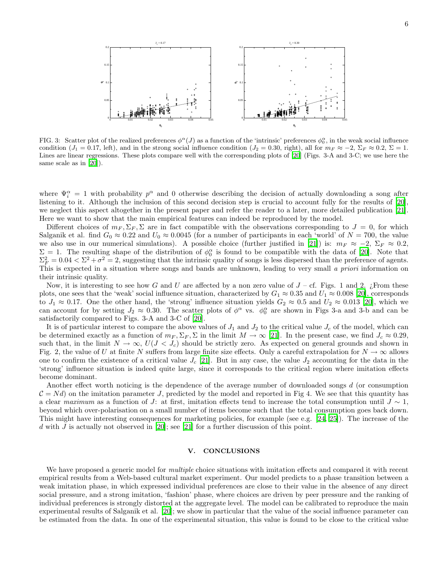

FIG. 3: Scatter plot of the realized preferences  $\phi^{\alpha}(J)$  as a function of the 'intrinsic' preferences  $\phi_0^{\alpha}$ , in the weak social influence condition ( $J_1 = 0.17$ , left), and in the strong social influence condition ( $J_2 = 0.30$ , right), all for  $m_F \approx -2$ ,  $\Sigma_F \approx 0.2$ ,  $\Sigma = 1$ . Lines are linear regressions. These plots compare well with the corresponding plots of [\[20\]](#page-7-7) (Figs. 3-A and 3-C; we use here the same scale as in [\[20\]](#page-7-7)).

where  $\Psi_i^{\alpha} = 1$  with probability  $p^{\alpha}$  and 0 otherwise describing the decision of actually downloading a song after listening to it. Although the inclusion of this second decision step is crucial to account fully for the results of [\[20\]](#page-7-7), we neglect this aspect altogether in the present paper and refer the reader to a later, more detailed publication [\[21\]](#page-7-9). Here we want to show that the main empirical features can indeed be reproduced by the model.

Different choices of  $m_F, \Sigma_F, \Sigma$  are in fact compatible with the observations corresponding to  $J = 0$ , for which Salganik et al. find  $G_0 \approx 0.22$  and  $U_0 \approx 0.0045$  (for a number of participants in each 'world' of  $N = 700$ , the value we also use in our numerical simulations). A possible choice (further justified in [\[21\]](#page-7-9)) is:  $m_F \approx -2$ ,  $\Sigma_F \approx 0.2$ ,  $\Sigma = 1$ . The resulting shape of the distribution of  $\phi_0^{\alpha}$  is found to be compatible with the data of [\[20\]](#page-7-7). Note that  $\Sigma_F^2 = 0.04 < \Sigma^2 + \sigma^2 = 2$ , suggesting that the intrinsic quality of songs is less dispersed than the preference of agents. This is expected in a situation where songs and bands are unknown, leading to very small a priori information on their intrinsic quality.

Now, it is interesting to see how G and U are affected by a non zero value of  $J - cf.$  Figs. 1 and 2. *j*From these plots, one sees that the 'weak' social influence situation, characterized by  $G_1 \approx 0.35$  and  $U_1 \approx 0.008$  [\[20](#page-7-7)], corresponds to  $J_1 \approx 0.17$ . One the other hand, the 'strong' influence situation yields  $G_2 \approx 0.5$  and  $U_2 \approx 0.013$  [\[20\]](#page-7-7), which we can account for by setting  $J_2 \approx 0.30$ . The scatter plots of  $\phi^{\alpha}$  vs.  $\phi^{\alpha}$  are shown in Figs 3-a and 3-b and can be satisfactorily compared to Figs. 3-A and 3-C of [\[20](#page-7-7)].

It is of particular interest to compare the above values of  $J_1$  and  $J_2$  to the critical value  $J_c$  of the model, which can be determined exactly as a function of  $m_F, \Sigma_F, \Sigma$  in the limit  $M \to \infty$  [\[21\]](#page-7-9). In the present case, we find  $J_c \approx 0.29$ , such that, in the limit  $N \to \infty$ ,  $U(J < J_c)$  should be strictly zero. As expected on general grounds and shown in Fig. 2, the value of U at finite N suffers from large finite size effects. Only a careful extrapolation for  $N \to \infty$  allows one to confirm the existence of a critical value  $J_c$  [\[21](#page-7-9)]. But in any case, the value  $J_2$  accounting for the data in the 'strong' influence situation is indeed quite large, since it corresponds to the critical region where imitation effects become dominant.

Another effect worth noticing is the dependence of the average number of downloaded songs d (or consumption  $C = Nd$ ) on the imitation parameter J, predicted by the model and reported in Fig 4. We see that this quantity has a clear maximum as a function of J: at first, imitation effects tend to increase the total consumption until  $J \sim 1$ , beyond which over-polarisation on a small number of items become such that the total consumption goes back down. This might have interesting consequences for marketing policies, for example (see e.g. [\[24](#page-7-12), [25\]](#page-7-13)). The increase of the d with J is actually not observed in [\[20](#page-7-7)]; see [\[21\]](#page-7-9) for a further discussion of this point.

## V. CONCLUSIONS

We have proposed a generic model for *multiple* choice situations with imitation effects and compared it with recent empirical results from a Web-based cultural market experiment. Our model predicts to a phase transition between a weak imitation phase, in which expressed individual preferences are close to their value in the absence of any direct social pressure, and a strong imitation, 'fashion' phase, where choices are driven by peer pressure and the ranking of individual preferences is strongly distorted at the aggregate level. The model can be calibrated to reproduce the main experimental results of Salganik et al. [\[20\]](#page-7-7); we show in particular that the value of the social influence parameter can be estimated from the data. In one of the experimental situation, this value is found to be close to the critical value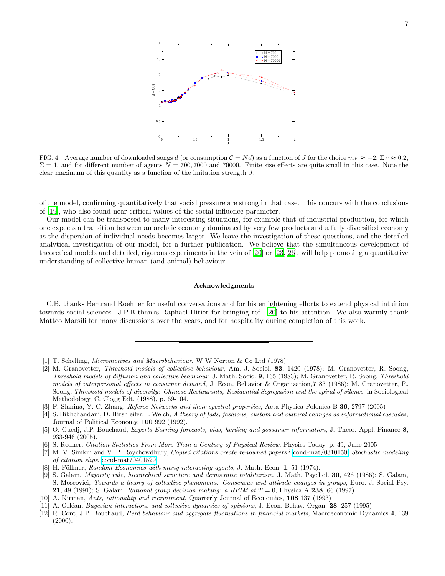

FIG. 4: Average number of downloaded songs d (or consumption  $\mathcal{C} = Nd$ ) as a function of J for the choice  $m_F \approx -2$ ,  $\Sigma_F \approx 0.2$ ,  $\Sigma = 1$ , and for different number of agents  $N = 700, 7000$  and 70000. Finite size effects are quite small in this case. Note the clear maximum of this quantity as a function of the imitation strength J.

of the model, confirming quantitatively that social pressure are strong in that case. This concurs with the conclusions of [\[19](#page-7-6)], who also found near critical values of the social influence parameter.

Our model can be transposed to many interesting situations, for example that of industrial production, for which one expects a transition between an archaic economy dominated by very few products and a fully diversified economy as the dispersion of individual needs becomes larger. We leave the investigation of these questions, and the detailed analytical investigation of our model, for a further publication. We believe that the simultaneous development of theoretical models and detailed, rigorous experiments in the vein of [\[20](#page-7-7)] or [\[23](#page-7-11), [26\]](#page-7-14), will help promoting a quantitative understanding of collective human (and animal) behaviour.

#### Acknowledgments

C.B. thanks Bertrand Roehner for useful conversations and for his enlightening efforts to extend physical intuition towards social sciences. J.P.B thanks Raphael Hitier for bringing ref. [\[20](#page-7-7)] to his attention. We also warmly thank Matteo Marsili for many discussions over the years, and for hospitality during completion of this work.

<span id="page-6-2"></span>[3] F. Slanina, Y. C. Zhang, Referee Networks and their spectral properties, Acta Physica Polonica B 36, 2797 (2005)

- <span id="page-6-5"></span>[6] S. Redner, Citation Statistics From More Than a Century of Physical Review, Physics Today, p. 49, June 2005
- <span id="page-6-6"></span>[7] M. V. Simkin and V. P. Roychowdhury, Copied citations create renowned papers? [cond-mat/0310150;](http://lanl.arxiv.org/abs/cond-mat/0310150) Stochastic modeling of citation slips, [cond-mat/0401529.](http://lanl.arxiv.org/abs/cond-mat/0401529)
- <span id="page-6-7"></span>[8] H. Föllmer, Random Economies with many interacting agents, J. Math. Econ. 1, 51 (1974).
- <span id="page-6-8"></span>[9] S. Galam, Majority rule, hierarchical structure and democratic totalitarism, J. Math. Psychol. 30, 426 (1986); S. Galam, S. Moscovici, Towards a theory of collective phenomena: Consensus and attitude changes in groups, Euro. J. Social Psy. 21, 49 (1991); S. Galam, Rational group decision making: a RFIM at  $T = 0$ , Physica A 238, 66 (1997).
- [10] A. Kirman, Ants, rationality and recruitment, Quarterly Journal of Economics, 108 137 (1993)
- <span id="page-6-9"></span>[11] A. Orléan, Bayesian interactions and collective dynamics of opinions, J. Econ. Behav. Organ. 28, 257 (1995)
- <span id="page-6-11"></span><span id="page-6-10"></span>[12] R. Cont, J.P. Bouchaud, Herd behaviour and aggregate fluctuations in financial markets, Macroeconomic Dynamics 4, 139  $(2000).$

<span id="page-6-0"></span><sup>[1]</sup> T. Schelling, Micromotives and Macrobehaviour, W W Norton & Co Ltd (1978)

<span id="page-6-1"></span><sup>[2]</sup> M. Granovetter, Threshold models of collective behaviour, Am. J. Sociol. 83, 1420 (1978); M. Granovetter, R. Soong, Threshold models of diffusion and collective behaviour, J. Math. Socio. 9, 165 (1983); M. Granovetter, R. Soong, Threshold models of interpersonal effects in consumer demand, J. Econ. Behavior & Organization,7 83 (1986); M. Granovetter, R. Soong, Threshold models of diversity: Chinese Restaurants, Residential Segregation and the spiral of silence, in Sociological Methodology, C. Clogg Edt. (1988), p. 69-104.

<span id="page-6-3"></span><sup>[4]</sup> S. Bikhchandani, D. Hirshleifer, I. Welch, A theory of fads, fashions, custom and cultural changes as informational cascades, Journal of Political Economy, 100 992 (1992).

<span id="page-6-4"></span><sup>[5]</sup> O. Guedj, J.P. Bouchaud, Experts Earning forecasts, bias, herding and gossamer information, J. Theor. Appl. Finance 8, 933-946 (2005).